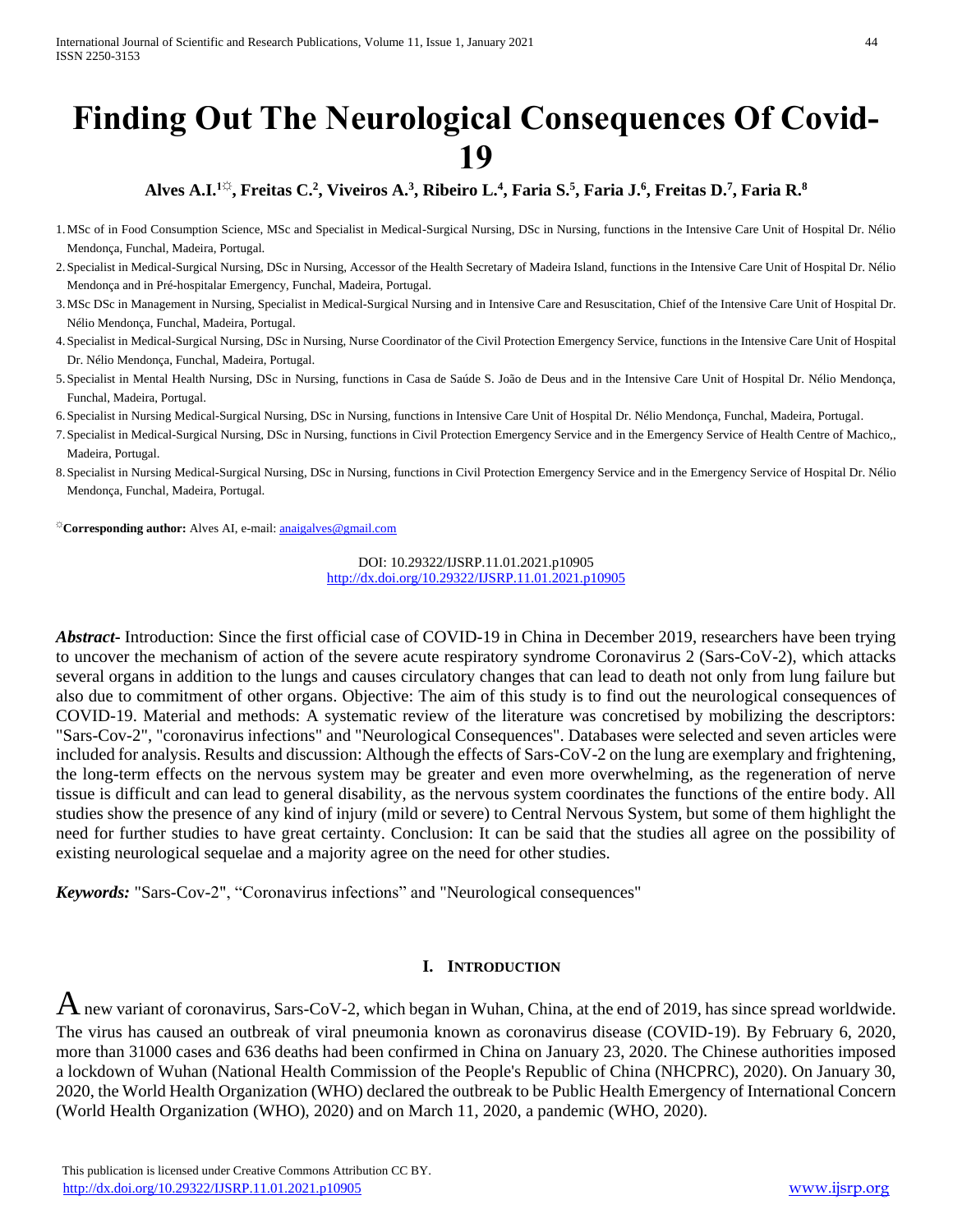# **Finding Out The Neurological Consequences Of Covid-19**

## **Alves A.I.1☼, Freitas C.<sup>2</sup> , Viveiros A.<sup>3</sup> , Ribeiro L.<sup>4</sup> , Faria S.<sup>5</sup> , Faria J.<sup>6</sup> , Freitas D.<sup>7</sup> , Faria R.<sup>8</sup>**

- 1.MSc of in Food Consumption Science, MSc and Specialist in Medical-Surgical Nursing, DSc in Nursing, functions in the Intensive Care Unit of Hospital Dr. Nélio Mendonça, Funchal, Madeira, Portugal.
- 2.Specialist in Medical-Surgical Nursing, DSc in Nursing, Accessor of the Health Secretary of Madeira Island, functions in the Intensive Care Unit of Hospital Dr. Nélio Mendonça and in Pré-hospitalar Emergency, Funchal, Madeira, Portugal.
- 3.MSc DSc in Management in Nursing, Specialist in Medical-Surgical Nursing and in Intensive Care and Resuscitation, Chief of the Intensive Care Unit of Hospital Dr. Nélio Mendonça, Funchal, Madeira, Portugal.
- 4.Specialist in Medical-Surgical Nursing, DSc in Nursing, Nurse Coordinator of the Civil Protection Emergency Service, functions in the Intensive Care Unit of Hospital Dr. Nélio Mendonça, Funchal, Madeira, Portugal.
- 5.Specialist in Mental Health Nursing, DSc in Nursing, functions in Casa de Saúde S. João de Deus and in the Intensive Care Unit of Hospital Dr. Nélio Mendonça, Funchal, Madeira, Portugal.
- 6.Specialist in Nursing Medical-Surgical Nursing, DSc in Nursing, functions in Intensive Care Unit of Hospital Dr. Nélio Mendonça, Funchal, Madeira, Portugal.
- 7.Specialist in Medical-Surgical Nursing, DSc in Nursing, functions in Civil Protection Emergency Service and in the Emergency Service of Health Centre of Machico,, Madeira, Portugal.
- 8.Specialist in Nursing Medical-Surgical Nursing, DSc in Nursing, functions in Civil Protection Emergency Service and in the Emergency Service of Hospital Dr. Nélio Mendonça, Funchal, Madeira, Portugal.

**☼Corresponding author:** Alves AI, e-mail[: anaigalves@gmail.com](mailto:anaigalves@gmail.com)

DOI: 10.29322/IJSRP.11.01.2021.p10905 <http://dx.doi.org/10.29322/IJSRP.11.01.2021.p10905>

*Abstract***-** Introduction: Since the first official case of COVID-19 in China in December 2019, researchers have been trying to uncover the mechanism of action of the severe acute respiratory syndrome Coronavirus 2 (Sars-CoV-2), which attacks several organs in addition to the lungs and causes circulatory changes that can lead to death not only from lung failure but also due to commitment of other organs. Objective: The aim of this study is to find out the neurological consequences of COVID-19. Material and methods: A systematic review of the literature was concretised by mobilizing the descriptors: "Sars-Cov-2", "coronavirus infections" and "Neurological Consequences". Databases were selected and seven articles were included for analysis. Results and discussion: Although the effects of Sars-CoV-2 on the lung are exemplary and frightening, the long-term effects on the nervous system may be greater and even more overwhelming, as the regeneration of nerve tissue is difficult and can lead to general disability, as the nervous system coordinates the functions of the entire body. All studies show the presence of any kind of injury (mild or severe) to Central Nervous System, but some of them highlight the need for further studies to have great certainty. Conclusion: It can be said that the studies all agree on the possibility of existing neurological sequelae and a majority agree on the need for other studies.

*Keywords:* "Sars-Cov-2", "Coronavirus infections" and "Neurological consequences"

#### **I. INTRODUCTION**

 $A$  new variant of coronavirus, Sars-CoV-2, which began in Wuhan, China, at the end of 2019, has since spread worldwide. The virus has caused an outbreak of viral pneumonia known as coronavirus disease (COVID-19). By February 6, 2020, more than 31000 cases and 636 deaths had been confirmed in China on January 23, 2020. The Chinese authorities imposed a lockdown of Wuhan (National Health Commission of the People's Republic of China (NHCPRC), 2020). On January 30, 2020, the World Health Organization (WHO) declared the outbreak to be Public Health Emergency of International Concern (World Health Organization (WHO), 2020) and on March 11, 2020, a pandemic (WHO, 2020).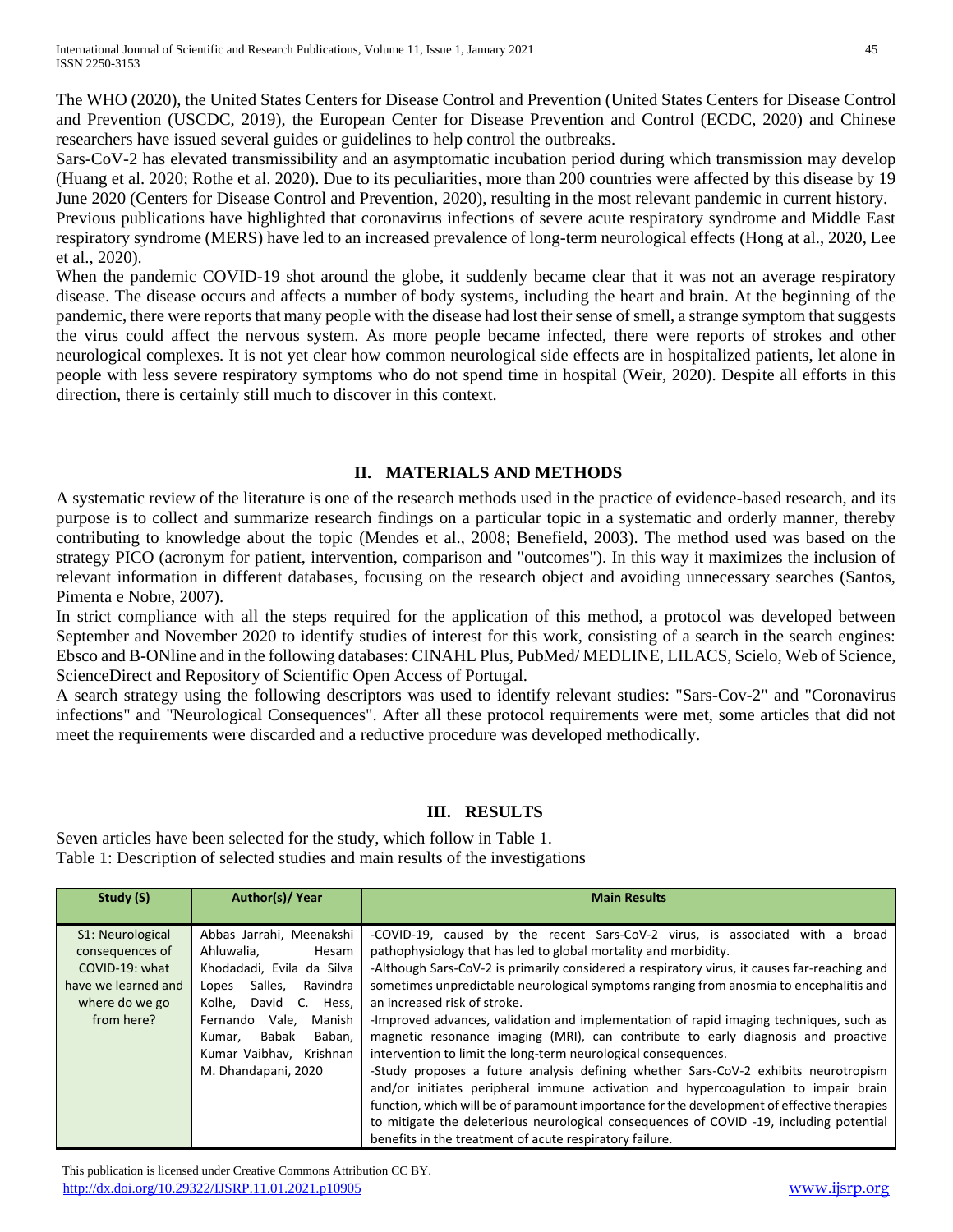The WHO (2020), the United States Centers for Disease Control and Prevention (United States Centers for Disease Control and Prevention (USCDC, 2019), the European Center for Disease Prevention and Control (ECDC, 2020) and Chinese researchers have issued several guides or guidelines to help control the outbreaks.

Sars-CoV-2 has elevated transmissibility and an asymptomatic incubation period during which transmission may develop (Huang et al. 2020; Rothe et al. 2020). Due to its peculiarities, more than 200 countries were affected by this disease by 19 June 2020 (Centers for Disease Control and Prevention, 2020), resulting in the most relevant pandemic in current history.

Previous publications have highlighted that coronavirus infections of severe acute respiratory syndrome and Middle East respiratory syndrome (MERS) have led to an increased prevalence of long-term neurological effects (Hong at al., 2020, Lee et al., 2020).

When the pandemic COVID-19 shot around the globe, it suddenly became clear that it was not an average respiratory disease. The disease occurs and affects a number of body systems, including the heart and brain. At the beginning of the pandemic, there were reports that many people with the disease had lost their sense of smell, a strange symptom that suggests the virus could affect the nervous system. As more people became infected, there were reports of strokes and other neurological complexes. It is not yet clear how common neurological side effects are in hospitalized patients, let alone in people with less severe respiratory symptoms who do not spend time in hospital (Weir, 2020). Despite all efforts in this direction, there is certainly still much to discover in this context.

### **II. MATERIALS AND METHODS**

A systematic review of the literature is one of the research methods used in the practice of evidence-based research, and its purpose is to collect and summarize research findings on a particular topic in a systematic and orderly manner, thereby contributing to knowledge about the topic (Mendes et al., 2008; Benefield, 2003). The method used was based on the strategy PICO (acronym for patient, intervention, comparison and "outcomes"). In this way it maximizes the inclusion of relevant information in different databases, focusing on the research object and avoiding unnecessary searches (Santos, Pimenta e Nobre, 2007).

In strict compliance with all the steps required for the application of this method, a protocol was developed between September and November 2020 to identify studies of interest for this work, consisting of a search in the search engines: Ebsco and B-ONline and in the following databases: CINAHL Plus, PubMed/ MEDLINE, LILACS, Scielo, Web of Science, ScienceDirect and Repository of Scientific Open Access of Portugal.

A search strategy using the following descriptors was used to identify relevant studies: "Sars-Cov-2" and "Coronavirus infections" and "Neurological Consequences". After all these protocol requirements were met, some articles that did not meet the requirements were discarded and a reductive procedure was developed methodically.

## **III. RESULTS**

Seven articles have been selected for the study, which follow in Table 1. Table 1: Description of selected studies and main results of the investigations

| Study (S)                                                                                                    | Author(s)/Year                                                                                                                                                                                                                                            | <b>Main Results</b>                                                                                                                                                                                                                                                                                                                                                                                                                                                                                                                                                                                                                                                                                                                                                                                                                                                                                                                                                                                                                                                  |
|--------------------------------------------------------------------------------------------------------------|-----------------------------------------------------------------------------------------------------------------------------------------------------------------------------------------------------------------------------------------------------------|----------------------------------------------------------------------------------------------------------------------------------------------------------------------------------------------------------------------------------------------------------------------------------------------------------------------------------------------------------------------------------------------------------------------------------------------------------------------------------------------------------------------------------------------------------------------------------------------------------------------------------------------------------------------------------------------------------------------------------------------------------------------------------------------------------------------------------------------------------------------------------------------------------------------------------------------------------------------------------------------------------------------------------------------------------------------|
| S1: Neurological<br>consequences of<br>COVID-19: what<br>have we learned and<br>where do we go<br>from here? | Abbas Jarrahi, Meenakshi<br>Ahluwalia.<br>Hesam<br>Khodadadi. Evila da Silva<br>Salles,<br>Ravindra<br>Lopes<br>David C.<br>Hess,<br>Kolhe.<br>Vale.<br>Fernando<br>Manish<br>Baban.<br>Babak<br>Kumar.<br>Kumar Vaibhay. Krishnan<br>M. Dhandapani, 2020 | -COVID-19, caused by the recent Sars-CoV-2 virus, is associated<br>with<br>broad<br>a<br>pathophysiology that has led to global mortality and morbidity.<br>-Although Sars-CoV-2 is primarily considered a respiratory virus, it causes far-reaching and<br>sometimes unpredictable neurological symptoms ranging from anosmia to encephalitis and<br>an increased risk of stroke.<br>-Improved advances, validation and implementation of rapid imaging techniques, such as<br>magnetic resonance imaging (MRI), can contribute to early diagnosis and proactive<br>intervention to limit the long-term neurological consequences.<br>-Study proposes a future analysis defining whether Sars-CoV-2 exhibits neurotropism<br>and/or initiates peripheral immune activation and hypercoagulation to impair brain<br>function, which will be of paramount importance for the development of effective therapies<br>to mitigate the deleterious neurological consequences of COVID -19, including potential<br>benefits in the treatment of acute respiratory failure. |

This publication is licensed under Creative Commons Attribution CC BY. <http://dx.doi.org/10.29322/IJSRP.11.01.2021.p10905> [www.ijsrp.org](http://ijsrp.org/)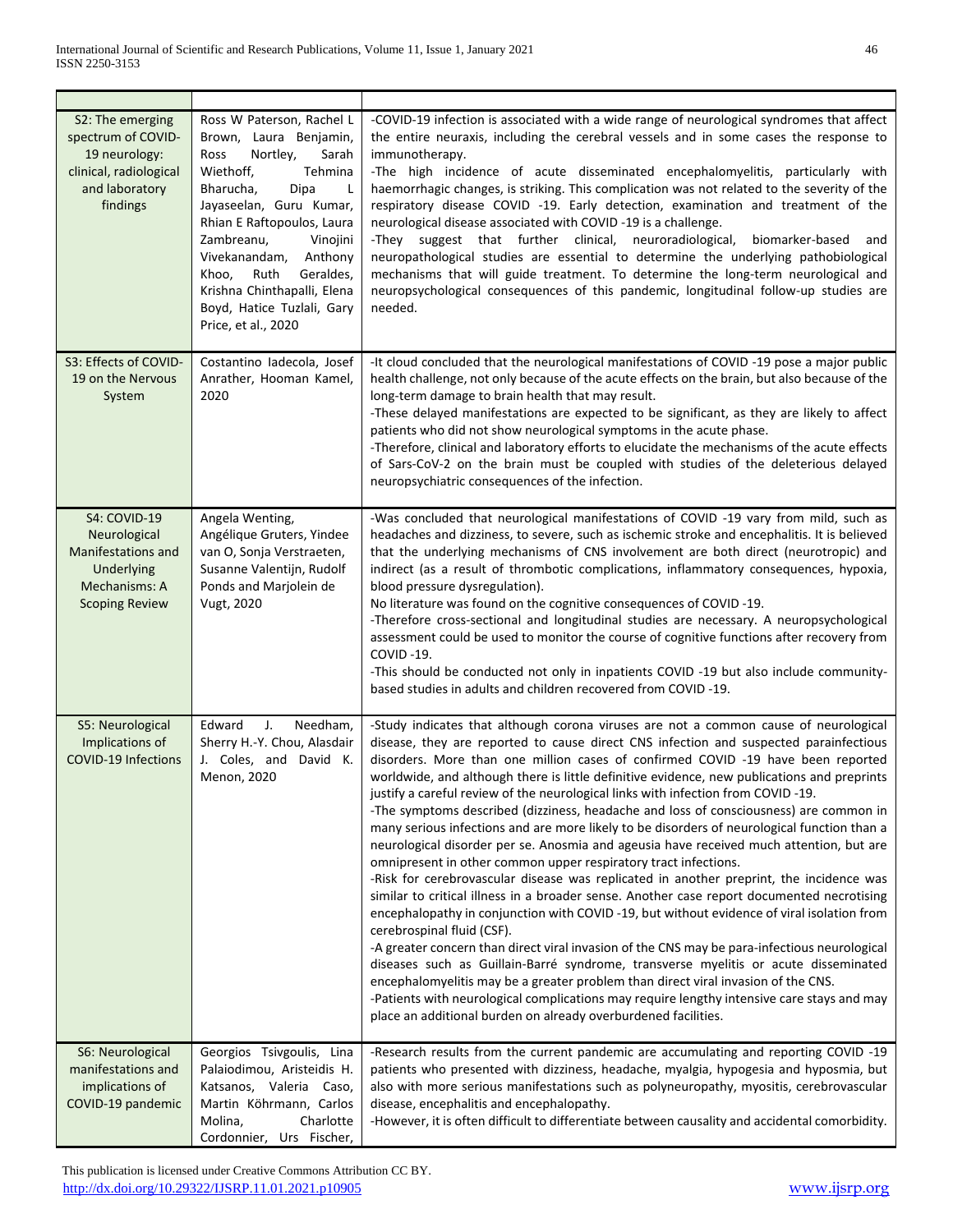| S2: The emerging<br>spectrum of COVID-<br>19 neurology:<br>clinical, radiological<br>and laboratory<br>findings   | Ross W Paterson, Rachel L<br>Brown, Laura Benjamin,<br>Ross<br>Nortley,<br>Sarah<br>Wiethoff,<br>Tehmina<br>Bharucha,<br>Dipa<br>L<br>Jayaseelan, Guru Kumar,<br>Rhian E Raftopoulos, Laura<br>Zambreanu,<br>Vinojini<br>Vivekanandam, Anthony<br>Ruth<br>Geraldes,<br>Khoo,<br>Krishna Chinthapalli, Elena<br>Boyd, Hatice Tuzlali, Gary<br>Price, et al., 2020 | -COVID-19 infection is associated with a wide range of neurological syndromes that affect<br>the entire neuraxis, including the cerebral vessels and in some cases the response to<br>immunotherapy.<br>-The high incidence of acute disseminated encephalomyelitis, particularly with<br>haemorrhagic changes, is striking. This complication was not related to the severity of the<br>respiratory disease COVID -19. Early detection, examination and treatment of the<br>neurological disease associated with COVID-19 is a challenge.<br>-They suggest that further clinical, neuroradiological,<br>biomarker-based<br>and<br>neuropathological studies are essential to determine the underlying pathobiological<br>mechanisms that will guide treatment. To determine the long-term neurological and<br>neuropsychological consequences of this pandemic, longitudinal follow-up studies are<br>needed.                                                                                                                                                                                                                                                                                                                                                                                                                                                                                                                                                                                                                                                             |
|-------------------------------------------------------------------------------------------------------------------|------------------------------------------------------------------------------------------------------------------------------------------------------------------------------------------------------------------------------------------------------------------------------------------------------------------------------------------------------------------|----------------------------------------------------------------------------------------------------------------------------------------------------------------------------------------------------------------------------------------------------------------------------------------------------------------------------------------------------------------------------------------------------------------------------------------------------------------------------------------------------------------------------------------------------------------------------------------------------------------------------------------------------------------------------------------------------------------------------------------------------------------------------------------------------------------------------------------------------------------------------------------------------------------------------------------------------------------------------------------------------------------------------------------------------------------------------------------------------------------------------------------------------------------------------------------------------------------------------------------------------------------------------------------------------------------------------------------------------------------------------------------------------------------------------------------------------------------------------------------------------------------------------------------------------------------------------|
| S3: Effects of COVID-<br>19 on the Nervous<br>System                                                              | Costantino ladecola, Josef<br>Anrather, Hooman Kamel,<br>2020                                                                                                                                                                                                                                                                                                    | -It cloud concluded that the neurological manifestations of COVID -19 pose a major public<br>health challenge, not only because of the acute effects on the brain, but also because of the<br>long-term damage to brain health that may result.<br>-These delayed manifestations are expected to be significant, as they are likely to affect<br>patients who did not show neurological symptoms in the acute phase.<br>-Therefore, clinical and laboratory efforts to elucidate the mechanisms of the acute effects<br>of Sars-CoV-2 on the brain must be coupled with studies of the deleterious delayed<br>neuropsychiatric consequences of the infection.                                                                                                                                                                                                                                                                                                                                                                                                                                                                                                                                                                                                                                                                                                                                                                                                                                                                                                              |
| <b>S4: COVID-19</b><br>Neurological<br>Manifestations and<br>Underlying<br>Mechanisms: A<br><b>Scoping Review</b> | Angela Wenting,<br>Angélique Gruters, Yindee<br>van O, Sonja Verstraeten,<br>Susanne Valentijn, Rudolf<br>Ponds and Marjolein de<br>Vugt, 2020                                                                                                                                                                                                                   | -Was concluded that neurological manifestations of COVID -19 vary from mild, such as<br>headaches and dizziness, to severe, such as ischemic stroke and encephalitis. It is believed<br>that the underlying mechanisms of CNS involvement are both direct (neurotropic) and<br>indirect (as a result of thrombotic complications, inflammatory consequences, hypoxia,<br>blood pressure dysregulation).<br>No literature was found on the cognitive consequences of COVID-19.<br>-Therefore cross-sectional and longitudinal studies are necessary. A neuropsychological<br>assessment could be used to monitor the course of cognitive functions after recovery from<br>COVID-19.<br>-This should be conducted not only in inpatients COVID -19 but also include community-<br>based studies in adults and children recovered from COVID -19.                                                                                                                                                                                                                                                                                                                                                                                                                                                                                                                                                                                                                                                                                                                             |
| S5: Neurological<br>Implications of<br><b>COVID-19 Infections</b>                                                 | Edward<br>J.<br>Needham,<br>Sherry H.-Y. Chou, Alasdair<br>J. Coles, and David K.<br>Menon, 2020                                                                                                                                                                                                                                                                 | -Study indicates that although corona viruses are not a common cause of neurological<br>disease, they are reported to cause direct CNS infection and suspected parainfectious<br>disorders. More than one million cases of confirmed COVID -19 have been reported<br>worldwide, and although there is little definitive evidence, new publications and preprints<br>justify a careful review of the neurological links with infection from COVID-19.<br>-The symptoms described (dizziness, headache and loss of consciousness) are common in<br>many serious infections and are more likely to be disorders of neurological function than a<br>neurological disorder per se. Anosmia and ageusia have received much attention, but are<br>omnipresent in other common upper respiratory tract infections.<br>-Risk for cerebrovascular disease was replicated in another preprint, the incidence was<br>similar to critical illness in a broader sense. Another case report documented necrotising<br>encephalopathy in conjunction with COVID-19, but without evidence of viral isolation from<br>cerebrospinal fluid (CSF).<br>-A greater concern than direct viral invasion of the CNS may be para-infectious neurological<br>diseases such as Guillain-Barré syndrome, transverse myelitis or acute disseminated<br>encephalomyelitis may be a greater problem than direct viral invasion of the CNS.<br>-Patients with neurological complications may require lengthy intensive care stays and may<br>place an additional burden on already overburdened facilities. |
| S6: Neurological<br>manifestations and<br>implications of<br>COVID-19 pandemic                                    | Georgios Tsivgoulis, Lina<br>Palaiodimou, Aristeidis H.<br>Katsanos, Valeria Caso,<br>Martin Köhrmann, Carlos<br>Molina,<br>Charlotte<br>Cordonnier, Urs Fischer,                                                                                                                                                                                                | -Research results from the current pandemic are accumulating and reporting COVID -19<br>patients who presented with dizziness, headache, myalgia, hypogesia and hyposmia, but<br>also with more serious manifestations such as polyneuropathy, myositis, cerebrovascular<br>disease, encephalitis and encephalopathy.<br>-However, it is often difficult to differentiate between causality and accidental comorbidity.                                                                                                                                                                                                                                                                                                                                                                                                                                                                                                                                                                                                                                                                                                                                                                                                                                                                                                                                                                                                                                                                                                                                                    |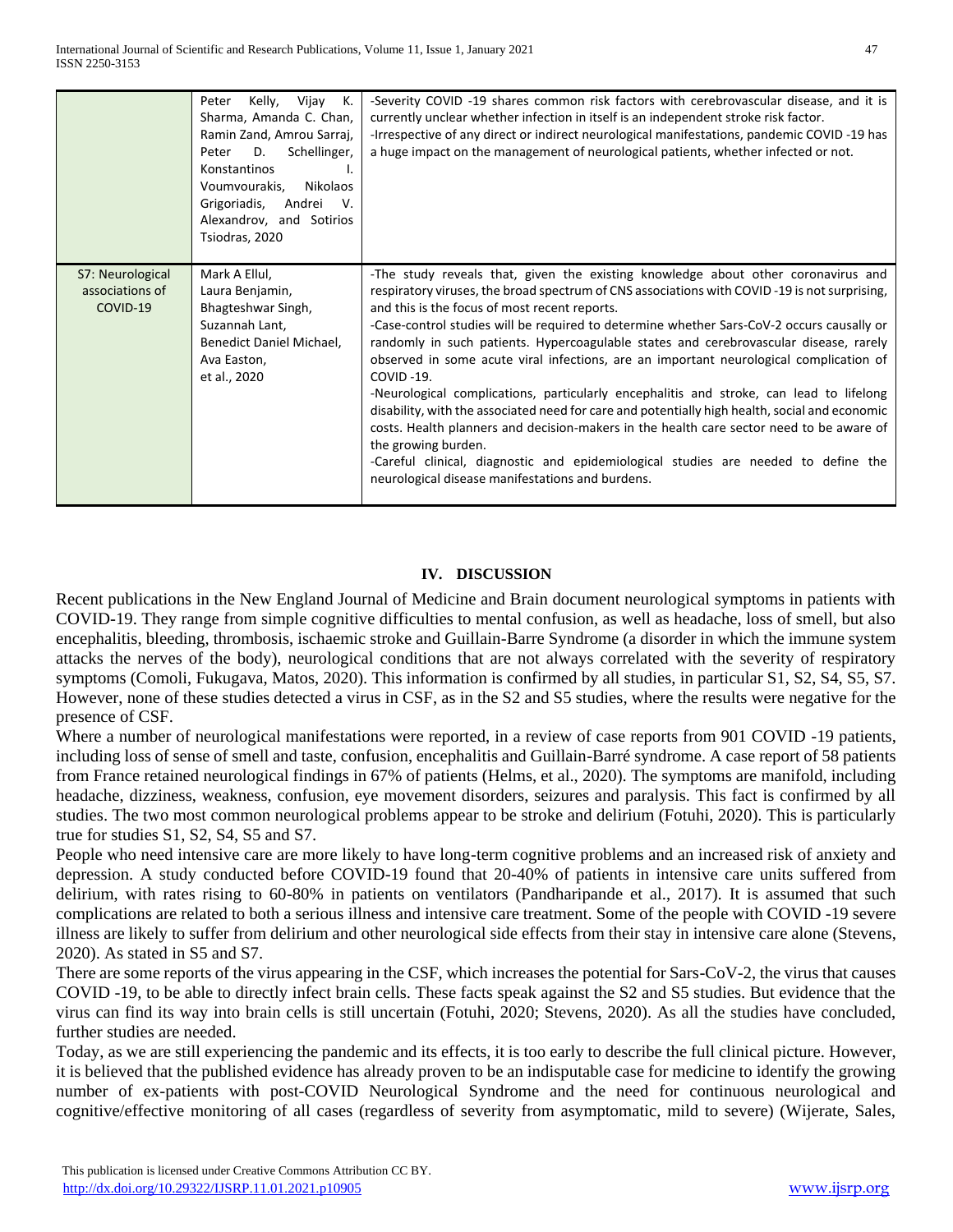|                                                 | Kelly,<br>Vijay<br>К.<br>Peter<br>Sharma, Amanda C. Chan,<br>Ramin Zand, Amrou Sarraj,<br>D.<br>Schellinger,<br>Peter<br>Konstantinos<br>Ъ.<br>Voumvourakis,<br>Nikolaos<br>Grigoriadis,<br>Andrei<br>V.<br>Alexandrov, and Sotirios<br>Tsiodras, 2020 | -Severity COVID -19 shares common risk factors with cerebrovascular disease, and it is<br>currently unclear whether infection in itself is an independent stroke risk factor.<br>-Irrespective of any direct or indirect neurological manifestations, pandemic COVID-19 has<br>a huge impact on the management of neurological patients, whether infected or not.                                                                                                                                                                                                                                                                                                                                                                                                                                                                                                                                                                                                                            |
|-------------------------------------------------|--------------------------------------------------------------------------------------------------------------------------------------------------------------------------------------------------------------------------------------------------------|----------------------------------------------------------------------------------------------------------------------------------------------------------------------------------------------------------------------------------------------------------------------------------------------------------------------------------------------------------------------------------------------------------------------------------------------------------------------------------------------------------------------------------------------------------------------------------------------------------------------------------------------------------------------------------------------------------------------------------------------------------------------------------------------------------------------------------------------------------------------------------------------------------------------------------------------------------------------------------------------|
| S7: Neurological<br>associations of<br>COVID-19 | Mark A Ellul,<br>Laura Benjamin,<br>Bhagteshwar Singh,<br>Suzannah Lant,<br>Benedict Daniel Michael,<br>Ava Easton,<br>et al., 2020                                                                                                                    | -The study reveals that, given the existing knowledge about other coronavirus and<br>respiratory viruses, the broad spectrum of CNS associations with COVID-19 is not surprising,<br>and this is the focus of most recent reports.<br>-Case-control studies will be required to determine whether Sars-CoV-2 occurs causally or<br>randomly in such patients. Hypercoagulable states and cerebrovascular disease, rarely<br>observed in some acute viral infections, are an important neurological complication of<br>$COVID -19.$<br>-Neurological complications, particularly encephalitis and stroke, can lead to lifelong<br>disability, with the associated need for care and potentially high health, social and economic<br>costs. Health planners and decision-makers in the health care sector need to be aware of<br>the growing burden.<br>-Careful clinical, diagnostic and epidemiological studies are needed to define the<br>neurological disease manifestations and burdens. |

#### **IV. DISCUSSION**

Recent publications in the New England Journal of Medicine and Brain document neurological symptoms in patients with COVID-19. They range from simple cognitive difficulties to mental confusion, as well as headache, loss of smell, but also encephalitis, bleeding, thrombosis, ischaemic stroke and Guillain-Barre Syndrome (a disorder in which the immune system attacks the nerves of the body), neurological conditions that are not always correlated with the severity of respiratory symptoms (Comoli, Fukugava, Matos, 2020). This information is confirmed by all studies, in particular S1, S2, S4, S5, S7. However, none of these studies detected a virus in CSF, as in the S2 and S5 studies, where the results were negative for the presence of CSF.

Where a number of neurological manifestations were reported, in a review of case reports from 901 COVID -19 patients, including loss of sense of smell and taste, confusion, encephalitis and Guillain-Barré syndrome. A case report of 58 patients from France retained neurological findings in 67% of patients (Helms, et al., 2020). The symptoms are manifold, including headache, dizziness, weakness, confusion, eye movement disorders, seizures and paralysis. This fact is confirmed by all studies. The two most common neurological problems appear to be stroke and delirium (Fotuhi, 2020). This is particularly true for studies S1, S2, S4, S5 and S7.

People who need intensive care are more likely to have long-term cognitive problems and an increased risk of anxiety and depression. A study conducted before COVID-19 found that 20-40% of patients in intensive care units suffered from delirium, with rates rising to 60-80% in patients on ventilators (Pandharipande et al., 2017). It is assumed that such complications are related to both a serious illness and intensive care treatment. Some of the people with COVID -19 severe illness are likely to suffer from delirium and other neurological side effects from their stay in intensive care alone (Stevens, 2020). As stated in S5 and S7.

There are some reports of the virus appearing in the CSF, which increases the potential for Sars-CoV-2, the virus that causes COVID -19, to be able to directly infect brain cells. These facts speak against the S2 and S5 studies. But evidence that the virus can find its way into brain cells is still uncertain (Fotuhi, 2020; Stevens, 2020). As all the studies have concluded, further studies are needed.

Today, as we are still experiencing the pandemic and its effects, it is too early to describe the full clinical picture. However, it is believed that the published evidence has already proven to be an indisputable case for medicine to identify the growing number of ex-patients with post-COVID Neurological Syndrome and the need for continuous neurological and cognitive/effective monitoring of all cases (regardless of severity from asymptomatic, mild to severe) (Wijerate, Sales,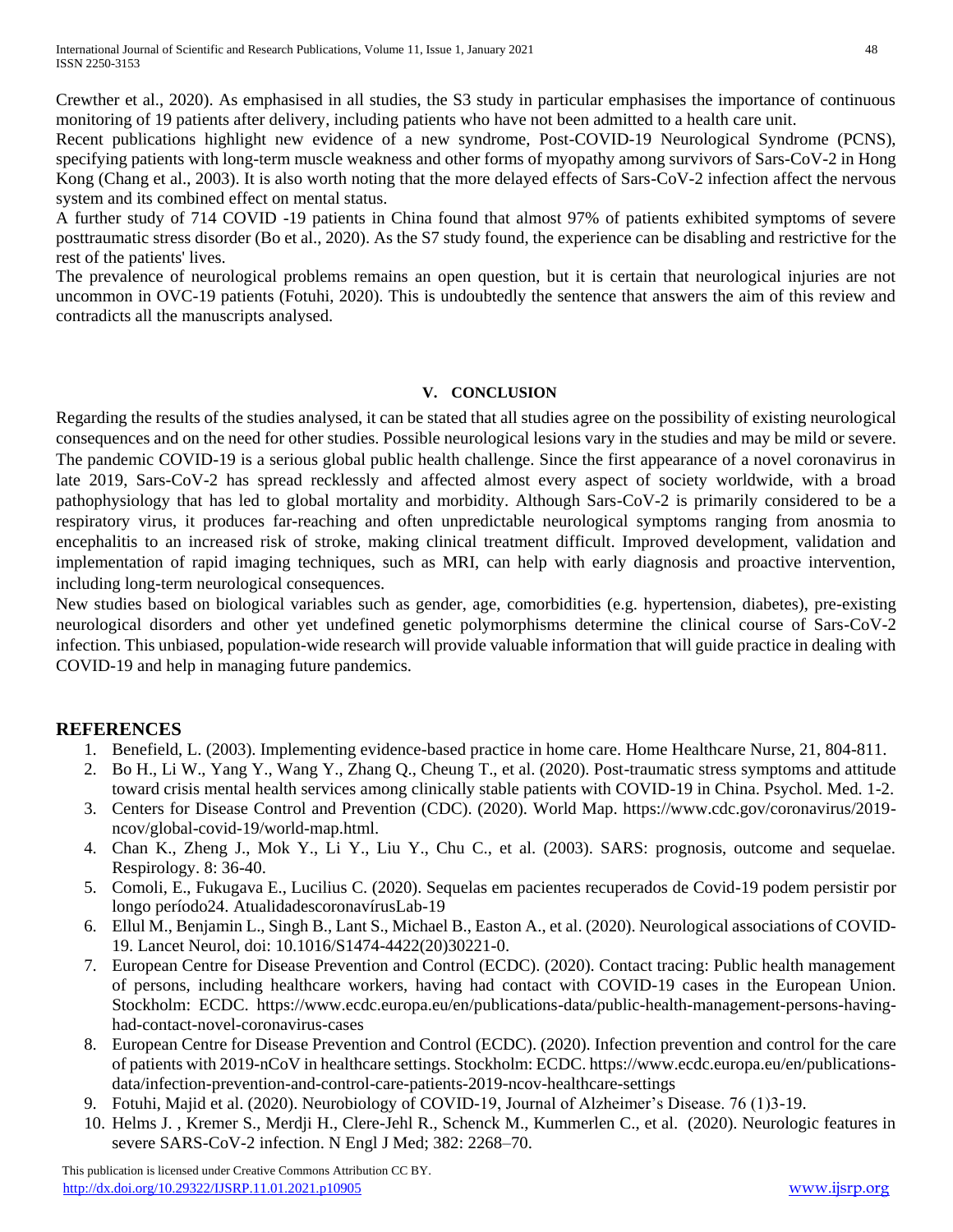Crewther et al., 2020). As emphasised in all studies, the S3 study in particular emphasises the importance of continuous monitoring of 19 patients after delivery, including patients who have not been admitted to a health care unit.

Recent publications highlight new evidence of a new syndrome, Post-COVID-19 Neurological Syndrome (PCNS), specifying patients with long-term muscle weakness and other forms of myopathy among survivors of Sars-CoV-2 in Hong Kong (Chang et al., 2003). It is also worth noting that the more delayed effects of Sars-CoV-2 infection affect the nervous system and its combined effect on mental status.

A further study of 714 COVID -19 patients in China found that almost 97% of patients exhibited symptoms of severe posttraumatic stress disorder (Bo et al., 2020). As the S7 study found, the experience can be disabling and restrictive for the rest of the patients' lives.

The prevalence of neurological problems remains an open question, but it is certain that neurological injuries are not uncommon in OVC-19 patients (Fotuhi, 2020). This is undoubtedly the sentence that answers the aim of this review and contradicts all the manuscripts analysed.

#### **V. CONCLUSION**

Regarding the results of the studies analysed, it can be stated that all studies agree on the possibility of existing neurological consequences and on the need for other studies. Possible neurological lesions vary in the studies and may be mild or severe. The pandemic COVID-19 is a serious global public health challenge. Since the first appearance of a novel coronavirus in late 2019, Sars-CoV-2 has spread recklessly and affected almost every aspect of society worldwide, with a broad pathophysiology that has led to global mortality and morbidity. Although Sars-CoV-2 is primarily considered to be a respiratory virus, it produces far-reaching and often unpredictable neurological symptoms ranging from anosmia to encephalitis to an increased risk of stroke, making clinical treatment difficult. Improved development, validation and implementation of rapid imaging techniques, such as MRI, can help with early diagnosis and proactive intervention, including long-term neurological consequences.

New studies based on biological variables such as gender, age, comorbidities (e.g. hypertension, diabetes), pre-existing neurological disorders and other yet undefined genetic polymorphisms determine the clinical course of Sars-CoV-2 infection. This unbiased, population-wide research will provide valuable information that will guide practice in dealing with COVID-19 and help in managing future pandemics.

## **REFERENCES**

- 1. Benefield, L. (2003). Implementing evidence-based practice in home care. Home Healthcare Nurse, 21, 804-811.
- 2. Bo H., Li W., Yang Y., Wang Y., Zhang Q., Cheung T., et al. (2020). Post-traumatic stress symptoms and attitude toward crisis mental health services among clinically stable patients with COVID-19 in China. Psychol. Med. 1-2.
- 3. Centers for Disease Control and Prevention (CDC). (2020). World Map. https://www.cdc.gov/coronavirus/2019 ncov/global-covid-19/world-map.html.
- 4. Chan K., Zheng J., Mok Y., Li Y., Liu Y., Chu C., et al. (2003). SARS: prognosis, outcome and sequelae. Respirology. 8: 36-40.
- 5. Comoli, E., Fukugava E., Lucilius C. (2020). Sequelas em pacientes recuperados de Covid-19 podem persistir por longo período24. AtualidadescoronavírusLab-19
- 6. Ellul M., Benjamin L., Singh B., Lant S., Michael B., Easton A., et al. (2020). Neurological associations of COVID-19. Lancet Neurol, doi: 10.1016/S1474-4422(20)30221-0.
- 7. European Centre for Disease Prevention and Control (ECDC). (2020). Contact tracing: Public health management of persons, including healthcare workers, having had contact with COVID-19 cases in the European Union. Stockholm: ECDC. https://www.ecdc.europa.eu/en/publications-data/public-health-management-persons-havinghad-contact-novel-coronavirus-cases
- 8. European Centre for Disease Prevention and Control (ECDC). (2020). Infection prevention and control for the care of patients with 2019-nCoV in healthcare settings. Stockholm: ECDC. https://www.ecdc.europa.eu/en/publicationsdata/infection-prevention-and-control-care-patients-2019-ncov-healthcare-settings
- 9. Fotuhi, Majid et al. (2020). Neurobiology of COVID-19, Journal of Alzheimer's Disease. 76 (1)3-19.
- 10. Helms J. , Kremer S., Merdji H., Clere-Jehl R., Schenck M., Kummerlen C., et al. (2020). Neurologic features in severe SARS-CoV-2 infection. N Engl J Med; 382: 2268–70.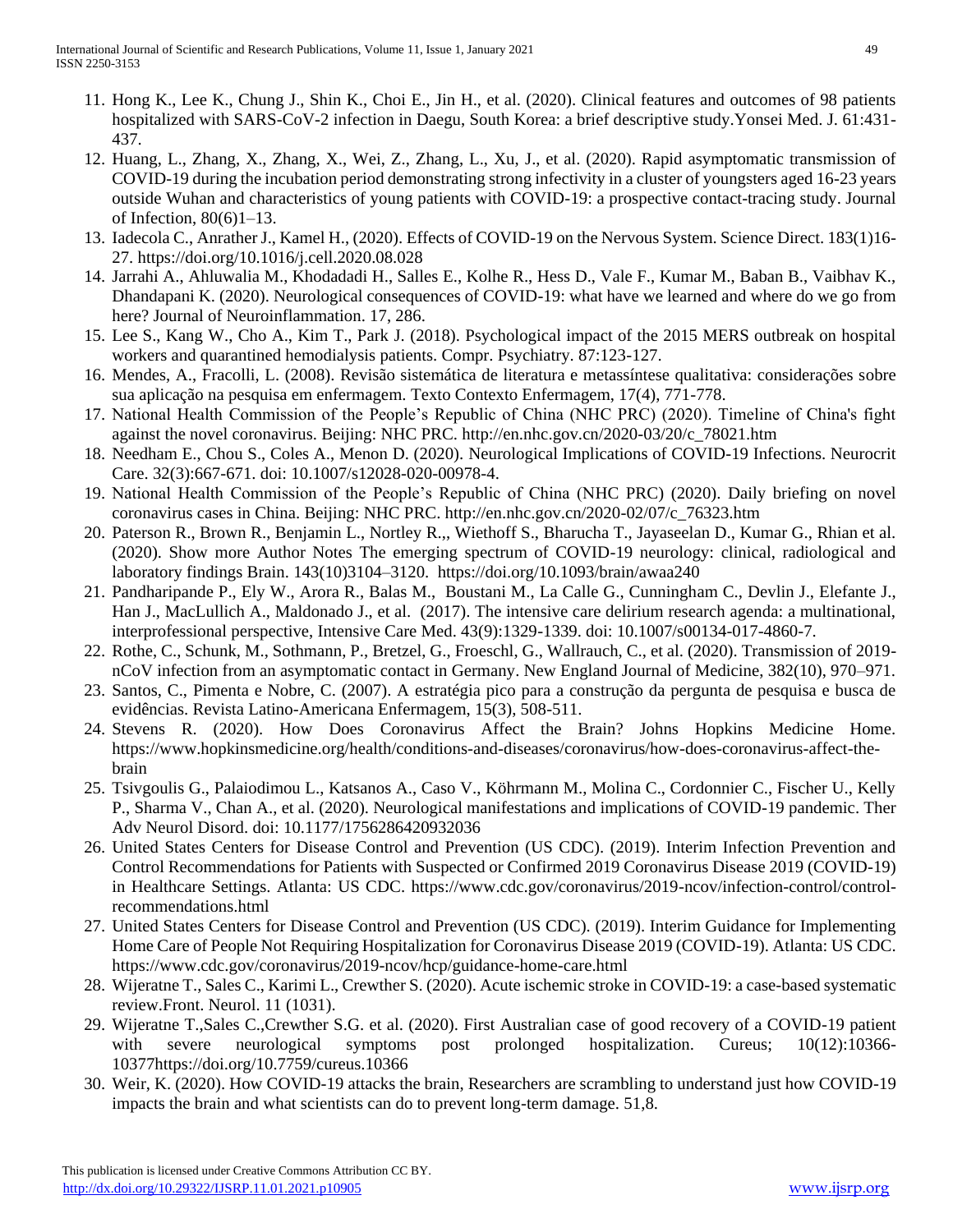- 11. Hong K., Lee K., Chung J., Shin K., Choi E., Jin H., et al. (2020). Clinical features and outcomes of 98 patients hospitalized with SARS-CoV-2 infection in Daegu, South Korea: a brief descriptive study.Yonsei Med. J. 61:431- 437.
- 12. Huang, L., Zhang, X., Zhang, X., Wei, Z., Zhang, L., Xu, J., et al. (2020). Rapid asymptomatic transmission of COVID-19 during the incubation period demonstrating strong infectivity in a cluster of youngsters aged 16-23 years outside Wuhan and characteristics of young patients with COVID-19: a prospective contact-tracing study. Journal of Infection, 80(6)1–13.
- 13. Iadecola C., Anrather J., Kamel H., (2020). Effects of COVID-19 on the Nervous System. Science Direct. 183(1)16- 27. https://doi.org/10.1016/j.cell.2020.08.028
- 14. Jarrahi A., Ahluwalia M., Khodadadi H., Salles E., Kolhe R., Hess D., Vale F., Kumar M., Baban B., Vaibhav K., Dhandapani K. (2020). Neurological consequences of COVID-19: what have we learned and where do we go from here? Journal of Neuroinflammation. 17, 286.
- 15. Lee S., Kang W., Cho A., Kim T., Park J. (2018). Psychological impact of the 2015 MERS outbreak on hospital workers and quarantined hemodialysis patients. Compr. Psychiatry. 87:123-127.
- 16. Mendes, A., Fracolli, L. (2008). Revisão sistemática de literatura e metassíntese qualitativa: considerações sobre sua aplicação na pesquisa em enfermagem. Texto Contexto Enfermagem, 17(4), 771-778.
- 17. National Health Commission of the People's Republic of China (NHC PRC) (2020). Timeline of China's fight against the novel coronavirus. Beijing: NHC PRC. http://en.nhc.gov.cn/2020-03/20/c\_78021.htm
- 18. Needham E., Chou S., Coles A., Menon D. (2020). Neurological Implications of COVID-19 Infections. Neurocrit Care. 32(3):667-671. doi: 10.1007/s12028-020-00978-4.
- 19. National Health Commission of the People's Republic of China (NHC PRC) (2020). Daily briefing on novel coronavirus cases in China. Beijing: NHC PRC. http://en.nhc.gov.cn/2020-02/07/c\_76323.htm
- 20. Paterson R., Brown R., Benjamin L., Nortley R.,, Wiethoff S., Bharucha T., Jayaseelan D., Kumar G., Rhian et al. (2020). Show more Author Notes The emerging spectrum of COVID-19 neurology: clinical, radiological and laboratory findings Brain. 143(10)3104–3120. https://doi.org/10.1093/brain/awaa240
- 21. Pandharipande P., Ely W., Arora R., Balas M., Boustani M., La Calle G., Cunningham C., Devlin J., Elefante J., Han J., MacLullich A., Maldonado J., et al. (2017). The intensive care delirium research agenda: a multinational, interprofessional perspective, Intensive Care Med. 43(9):1329-1339. doi: 10.1007/s00134-017-4860-7.
- 22. Rothe, C., Schunk, M., Sothmann, P., Bretzel, G., Froeschl, G., Wallrauch, C., et al. (2020). Transmission of 2019 nCoV infection from an asymptomatic contact in Germany. New England Journal of Medicine, 382(10), 970–971.
- 23. Santos, C., Pimenta e Nobre, C. (2007). A estratégia pico para a construção da pergunta de pesquisa e busca de evidências. Revista Latino-Americana Enfermagem, 15(3), 508-511.
- 24. Stevens R. (2020). How Does Coronavirus Affect the Brain? Johns Hopkins Medicine Home. https://www.hopkinsmedicine.org/health/conditions-and-diseases/coronavirus/how-does-coronavirus-affect-thebrain
- 25. Tsivgoulis G., Palaiodimou L., Katsanos A., Caso V., Köhrmann M., Molina C., Cordonnier C., Fischer U., Kelly P., Sharma V., Chan A., et al. (2020). Neurological manifestations and implications of COVID-19 pandemic. Ther Adv Neurol Disord. doi: 10.1177/1756286420932036
- 26. United States Centers for Disease Control and Prevention (US CDC). (2019). Interim Infection Prevention and Control Recommendations for Patients with Suspected or Confirmed 2019 Coronavirus Disease 2019 (COVID-19) in Healthcare Settings. Atlanta: US CDC. https://www.cdc.gov/coronavirus/2019-ncov/infection-control/controlrecommendations.html
- 27. United States Centers for Disease Control and Prevention (US CDC). (2019). Interim Guidance for Implementing Home Care of People Not Requiring Hospitalization for Coronavirus Disease 2019 (COVID-19). Atlanta: US CDC. https://www.cdc.gov/coronavirus/2019-ncov/hcp/guidance-home-care.html
- 28. Wijeratne T., Sales C., Karimi L., Crewther S. (2020). Acute ischemic stroke in COVID-19: a case-based systematic review.Front. Neurol. 11 (1031).
- 29. Wijeratne T.,Sales C.,Crewther S.G. et al. (2020). First Australian case of good recovery of a COVID-19 patient with severe neurological symptoms post prolonged hospitalization. Cureus; 10(12):10366-10377https://doi.org/10.7759/cureus.10366
- 30. Weir, K. (2020). How COVID-19 attacks the brain, Researchers are scrambling to understand just how COVID-19 impacts the brain and what scientists can do to prevent long-term damage. 51,8.